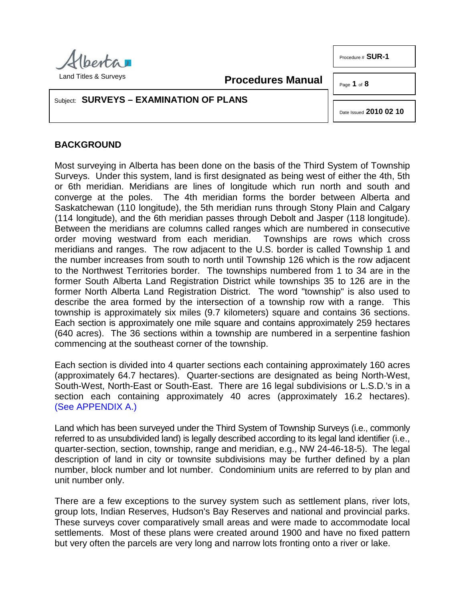

Land Titles & Surveys

**Procedures Manual**

Page **1** of **8**

Procedure # **SUR-1**

### Subject: **SURVEYS – EXAMINATION OF PLANS**

Date Issued **2010 02 10**

# **BACKGROUND**

Most surveying in Alberta has been done on the basis of the Third System of Township Surveys. Under this system, land is first designated as being west of either the 4th, 5th or 6th meridian. Meridians are lines of longitude which run north and south and converge at the poles. The 4th meridian forms the border between Alberta and Saskatchewan (110 longitude), the 5th meridian runs through Stony Plain and Calgary (114 longitude), and the 6th meridian passes through Debolt and Jasper (118 longitude). Between the meridians are columns called ranges which are numbered in consecutive order moving westward from each meridian. Townships are rows which cross meridians and ranges. The row adjacent to the U.S. border is called Township 1 and the number increases from south to north until Township 126 which is the row adjacent to the Northwest Territories border. The townships numbered from 1 to 34 are in the former South Alberta Land Registration District while townships 35 to 126 are in the former North Alberta Land Registration District. The word "township" is also used to describe the area formed by the intersection of a township row with a range. This township is approximately six miles (9.7 kilometers) square and contains 36 sections. Each section is approximately one mile square and contains approximately 259 hectares (640 acres). The 36 sections within a township are numbered in a serpentine fashion commencing at the southeast corner of the township.

Each section is divided into 4 quarter sections each containing approximately 160 acres (approximately 64.7 hectares). Quarter-sections are designated as being North-West, South-West, North-East or South-East. There are 16 legal subdivisions or L.S.D.'s in a section each containing approximately 40 acres (approximately 16.2 hectares). [\(See APPENDIX A.\)](http://www.servicealberta.ca/pdf/ltmanual/SUR-1-APPENDIXA.PDF)

Land which has been surveyed under the Third System of Township Surveys (i.e., commonly referred to as unsubdivided land) is legally described according to its legal land identifier (i.e., quarter-section, section, township, range and meridian, e.g., NW 24-46-18-5). The legal description of land in city or townsite subdivisions may be further defined by a plan number, block number and lot number. Condominium units are referred to by plan and unit number only.

There are a few exceptions to the survey system such as settlement plans, river lots, group lots, Indian Reserves, Hudson's Bay Reserves and national and provincial parks. These surveys cover comparatively small areas and were made to accommodate local settlements. Most of these plans were created around 1900 and have no fixed pattern but very often the parcels are very long and narrow lots fronting onto a river or lake.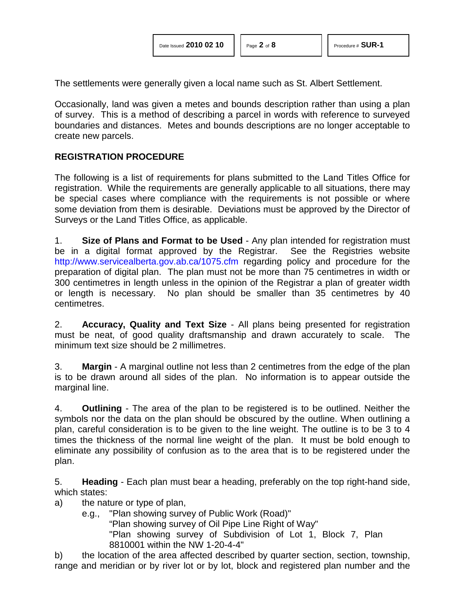The settlements were generally given a local name such as St. Albert Settlement.

Occasionally, land was given a metes and bounds description rather than using a plan of survey. This is a method of describing a parcel in words with reference to surveyed boundaries and distances. Metes and bounds descriptions are no longer acceptable to create new parcels.

## **REGISTRATION PROCEDURE**

The following is a list of requirements for plans submitted to the Land Titles Office for registration. While the requirements are generally applicable to all situations, there may be special cases where compliance with the requirements is not possible or where some deviation from them is desirable. Deviations must be approved by the Director of Surveys or the Land Titles Office, as applicable.

1. **Size of Plans and Format to be Used** - Any plan intended for registration must be in a digital format approved by the Registrar. See the Registries website <http://www.servicealberta.gov.ab.ca/1075.cfm> regarding policy and procedure for the preparation of digital plan. The plan must not be more than 75 centimetres in width or 300 centimetres in length unless in the opinion of the Registrar a plan of greater width or length is necessary. No plan should be smaller than 35 centimetres by 40 centimetres.

2. **Accuracy, Quality and Text Size** - All plans being presented for registration must be neat, of good quality draftsmanship and drawn accurately to scale. The minimum text size should be 2 millimetres.

3. **Margin** - A marginal outline not less than 2 centimetres from the edge of the plan is to be drawn around all sides of the plan. No information is to appear outside the marginal line.

4. **Outlining** - The area of the plan to be registered is to be outlined. Neither the symbols nor the data on the plan should be obscured by the outline. When outlining a plan, careful consideration is to be given to the line weight. The outline is to be 3 to 4 times the thickness of the normal line weight of the plan. It must be bold enough to eliminate any possibility of confusion as to the area that is to be registered under the plan.

5. **Heading** - Each plan must bear a heading, preferably on the top right-hand side, which states:

- a) the nature or type of plan,
	- e.g., "Plan showing survey of Public Work (Road)"

"Plan showing survey of Oil Pipe Line Right of Way"

"Plan showing survey of Subdivision of Lot 1, Block 7, Plan 8810001 within the NW 1-20-4-4"

b) the location of the area affected described by quarter section, section, township, range and meridian or by river lot or by lot, block and registered plan number and the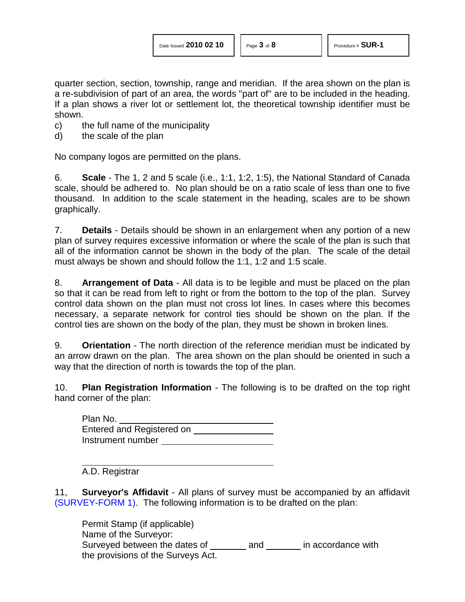quarter section, section, township, range and meridian. If the area shown on the plan is a re-subdivision of part of an area, the words "part of" are to be included in the heading. If a plan shows a river lot or settlement lot, the theoretical township identifier must be shown.

- c) the full name of the municipality
- d) the scale of the plan

No company logos are permitted on the plans.

6. **Scale** - The 1, 2 and 5 scale (i.e., 1:1, 1:2, 1:5), the National Standard of Canada scale, should be adhered to. No plan should be on a ratio scale of less than one to five thousand. In addition to the scale statement in the heading, scales are to be shown graphically.

7. **Details** - Details should be shown in an enlargement when any portion of a new plan of survey requires excessive information or where the scale of the plan is such that all of the information cannot be shown in the body of the plan. The scale of the detail must always be shown and should follow the 1:1, 1:2 and 1:5 scale.

8. **Arrangement of Data** - All data is to be legible and must be placed on the plan so that it can be read from left to right or from the bottom to the top of the plan. Survey control data shown on the plan must not cross lot lines. In cases where this becomes necessary, a separate network for control ties should be shown on the plan. If the control ties are shown on the body of the plan, they must be shown in broken lines.

9. **Orientation** - The north direction of the reference meridian must be indicated by an arrow drawn on the plan. The area shown on the plan should be oriented in such a way that the direction of north is towards the top of the plan.

10. **Plan Registration Information** - The following is to be drafted on the top right hand corner of the plan:

Plan No. Entered and Registered on Instrument number

A.D. Registrar

11, **Surveyor's Affidavit** - All plans of survey must be accompanied by an affidavit [\(SURVEY-FORM 1\).](http://www.servicealberta.ca/pdf/ltmanual/SURVEY-FORM1.pdf) The following information is to be drafted on the plan:

Permit Stamp (if applicable) Name of the Surveyor: Surveyed between the dates of and in accordance with the provisions of the Surveys Act.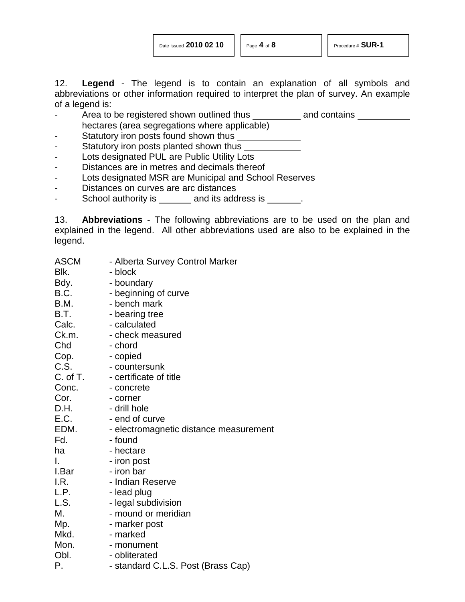12. **Legend** - The legend is to contain an explanation of all symbols and abbreviations or other information required to interpret the plan of survey. An example of a legend is:

- Area to be registered shown outlined thus and contains hectares (area segregations where applicable)
- Statutory iron posts found shown thus
- Statutory iron posts planted shown thus
- Lots designated PUL are Public Utility Lots
- Distances are in metres and decimals thereof
- Lots designated MSR are Municipal and School Reserves
- Distances on curves are arc distances
- School authority is \_\_\_\_\_\_\_ and its address is \_\_\_\_\_\_.

13. **Abbreviations** - The following abbreviations are to be used on the plan and explained in the legend. All other abbreviations used are also to be explained in the legend.

| ASCM     | - Alberta Survey Control Marker        |
|----------|----------------------------------------|
| Blk.     | - block                                |
| Bdy.     | - boundary                             |
| B.C.     | - beginning of curve                   |
| B.M.     | - bench mark                           |
| B.T.     | - bearing tree                         |
| Calc.    | - calculated                           |
| Ck.m.    | - check measured                       |
| Chd      | - chord                                |
| Cop.     | - copied                               |
| C.S.     | - countersunk                          |
| C. of T. | - certificate of title                 |
| Conc.    | - concrete                             |
| Cor.     | - corner                               |
| D.H.     | - drill hole                           |
| E.C.     | - end of curve                         |
| EDM.     | - electromagnetic distance measurement |
| Fd.      | - found                                |
| ha       | - hectare                              |
| I.       | - iron post                            |
| I.Bar    | - iron bar                             |
| I.R.     | - Indian Reserve                       |
| L.P.     | - lead plug                            |
| L.S.     | - legal subdivision                    |
| М.       | - mound or meridian                    |
| Mp.      | - marker post                          |
| Mkd.     | - marked                               |
| Mon.     | - monument                             |
| Obl.     | - obliterated                          |
| Р.       | - standard C.L.S. Post (Brass Cap)     |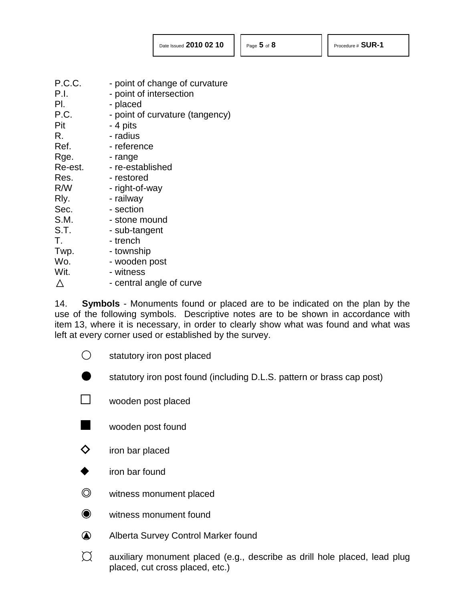$\triangle$ P.C.C. - point of change of curvature P.I. - point of intersection Pl. - placed P.C. - point of curvature (tangency) Pit - 4 pits R. - radius Ref. Figure - reference Rge. - range Re-est. - re-established Res. Fight-of-was restored<br>R/W - right-of-w - right-of-way Rly. - railway Sec. - section S.M. - stone mound S.T. - sub-tangent T. T. Twp. - township Wo. - wooden post Wit. - witness - central angle of curve

14. **Symbols** - Monuments found or placed are to be indicated on the plan by the use of the following symbols. Descriptive notes are to be shown in accordance with item 13, where it is necessary, in order to clearly show what was found and what was left at every corner used or established by the survey.

- $\bigcirc$ statutory iron post placed
	- statutory iron post found (including D.L.S. pattern or brass cap post)
- $\Box$  wooden post placed
- wooden post found
- $\diamondsuit$  iron bar placed
- iron bar found
- $\circledcirc$ witness monument placed
- $\bullet$ witness monument found
- ▲ Alberta Survey Control Marker found
- $\bigcap$ auxiliary monument placed (e.g., describe as drill hole placed, lead plug placed, cut cross placed, etc.)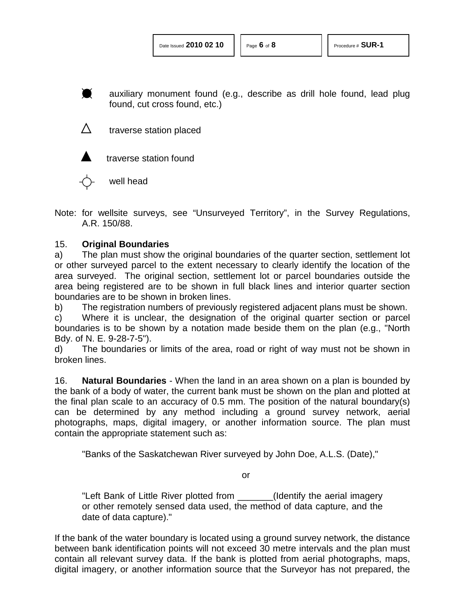D auxiliary monument found (e.g., describe as drill hole found, lead plug found, cut cross found, etc.)

traverse station placed



traverse station found

well head

Note: for wellsite surveys, see "Unsurveyed Territory", in the Survey Regulations, A.R. 150/88.

## 15. **Original Boundaries**

a) The plan must show the original boundaries of the quarter section, settlement lot or other surveyed parcel to the extent necessary to clearly identify the location of the area surveyed. The original section, settlement lot or parcel boundaries outside the area being registered are to be shown in full black lines and interior quarter section boundaries are to be shown in broken lines.

b) The registration numbers of previously registered adjacent plans must be shown.

c) Where it is unclear, the designation of the original quarter section or parcel boundaries is to be shown by a notation made beside them on the plan (e.g., "North Bdy. of N. E. 9-28-7-5").

d) The boundaries or limits of the area, road or right of way must not be shown in broken lines.

16. **Natural Boundaries** - When the land in an area shown on a plan is bounded by the bank of a body of water, the current bank must be shown on the plan and plotted at the final plan scale to an accuracy of 0.5 mm. The position of the natural boundary(s) can be determined by any method including a ground survey network, aerial photographs, maps, digital imagery, or another information source. The plan must contain the appropriate statement such as:

"Banks of the Saskatchewan River surveyed by John Doe, A.L.S. (Date),"

or

"Left Bank of Little River plotted from \_\_\_\_\_\_\_(Identify the aerial imagery or other remotely sensed data used, the method of data capture, and the date of data capture)."

If the bank of the water boundary is located using a ground survey network, the distance between bank identification points will not exceed 30 metre intervals and the plan must contain all relevant survey data. If the bank is plotted from aerial photographs, maps, digital imagery, or another information source that the Surveyor has not prepared, the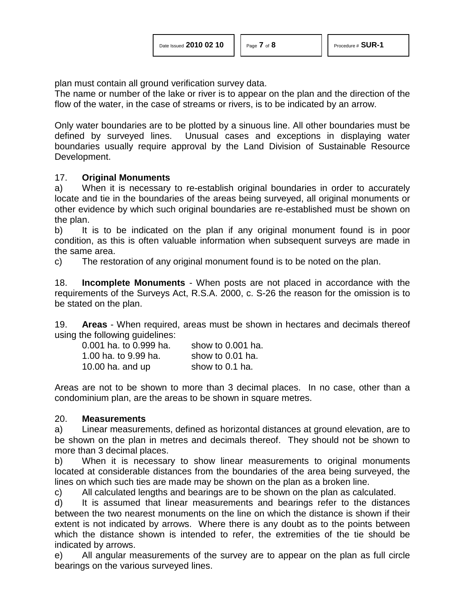plan must contain all ground verification survey data.

The name or number of the lake or river is to appear on the plan and the direction of the flow of the water, in the case of streams or rivers, is to be indicated by an arrow.

Only water boundaries are to be plotted by a sinuous line. All other boundaries must be defined by surveyed lines. Unusual cases and exceptions in displaying water boundaries usually require approval by the Land Division of Sustainable Resource Development.

#### 17. **Original Monuments**

a) When it is necessary to re-establish original boundaries in order to accurately locate and tie in the boundaries of the areas being surveyed, all original monuments or other evidence by which such original boundaries are re-established must be shown on the plan.

b) It is to be indicated on the plan if any original monument found is in poor condition, as this is often valuable information when subsequent surveys are made in the same area.

c) The restoration of any original monument found is to be noted on the plan.

18. **Incomplete Monuments** - When posts are not placed in accordance with the requirements of the Surveys Act, R.S.A. 2000, c. S-26 the reason for the omission is to be stated on the plan.

19. **Areas** - When required, areas must be shown in hectares and decimals thereof using the following guidelines:

| 0.001 ha. to 0.999 ha. | show to 0.001 ha. |
|------------------------|-------------------|
| 1.00 ha. to 9.99 ha.   | show to 0.01 ha.  |
| 10.00 ha. and up       | show to 0.1 ha.   |

Areas are not to be shown to more than 3 decimal places. In no case, other than a condominium plan, are the areas to be shown in square metres.

#### 20. **Measurements**

a) Linear measurements, defined as horizontal distances at ground elevation, are to be shown on the plan in metres and decimals thereof. They should not be shown to more than 3 decimal places.

b) When it is necessary to show linear measurements to original monuments located at considerable distances from the boundaries of the area being surveyed, the lines on which such ties are made may be shown on the plan as a broken line.

c) All calculated lengths and bearings are to be shown on the plan as calculated.

d) It is assumed that linear measurements and bearings refer to the distances between the two nearest monuments on the line on which the distance is shown if their extent is not indicated by arrows. Where there is any doubt as to the points between which the distance shown is intended to refer, the extremities of the tie should be indicated by arrows.

e) All angular measurements of the survey are to appear on the plan as full circle bearings on the various surveyed lines.